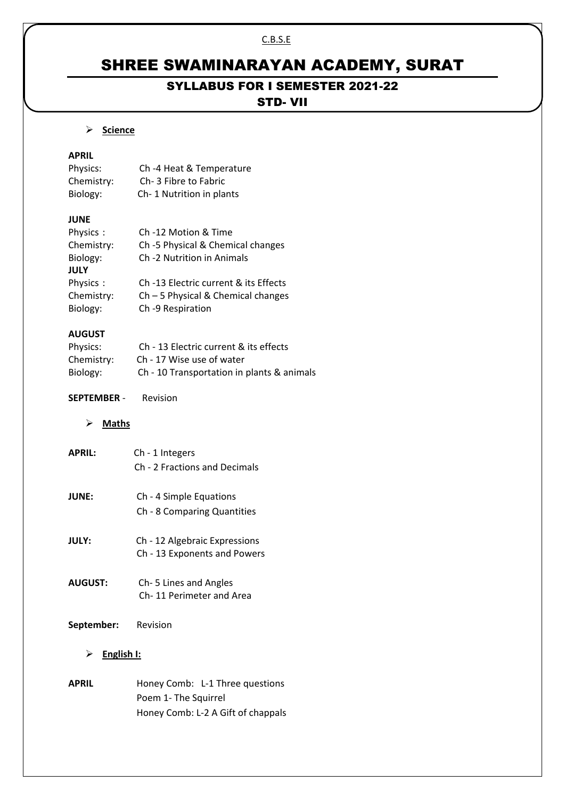#### C.B.S.E

# SHREE SWAMINARAYAN ACADEMY, SURAT

# SYLLABUS FOR I SEMESTER 2021-22

## STD- VII

#### **Science**

## **APRIL**

| Physics:   | Ch-4 Heat & Temperature  |
|------------|--------------------------|
| Chemistry: | Ch-3 Fibre to Fabric     |
| Biology:   | Ch-1 Nutrition in plants |

## **JUNE**

| Ch-12 Motion & Time                   |
|---------------------------------------|
| Ch -5 Physical & Chemical changes     |
| Ch -2 Nutrition in Animals            |
|                                       |
| Ch -13 Electric current & its Effects |
| $Ch - 5$ Physical & Chemical changes  |
| Ch-9 Respiration                      |
|                                       |

#### **AUGUST**

| Physics:   | Ch - 13 Electric current & its effects     |
|------------|--------------------------------------------|
| Chemistry: | Ch - 17 Wise use of water                  |
| Biology:   | Ch - 10 Transportation in plants & animals |

#### **SEPTEMBER** - Revision

#### **Maths**

| <b>APRIL:</b> | Ch - 1 Integers<br>Ch - 2 Fractions and Decimals       |
|---------------|--------------------------------------------------------|
| <b>JUNE:</b>  | Ch - 4 Simple Equations<br>Ch - 8 Comparing Quantities |

- **JULY:** Ch 12 Algebraic Expressions Ch - 13 Exponents and Powers
- **AUGUST:** Ch- 5 Lines and Angles Ch- 11 Perimeter and Area

## **September:** Revision

## **English I:**

**APRIL** Honey Comb: L-1 Three questions Poem 1- The Squirrel Honey Comb: L-2 A Gift of chappals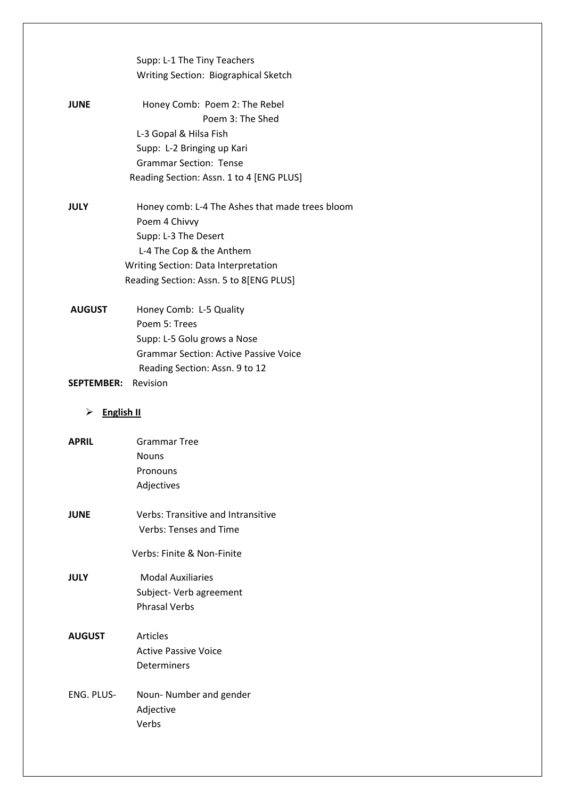|                        | Supp: L-1 The Tiny Teachers                     |
|------------------------|-------------------------------------------------|
|                        | Writing Section: Biographical Sketch            |
|                        |                                                 |
| <b>JUNE</b>            | Honey Comb: Poem 2: The Rebel                   |
|                        | Poem 3: The Shed                                |
|                        | L-3 Gopal & Hilsa Fish                          |
|                        | Supp: L-2 Bringing up Kari                      |
|                        | <b>Grammar Section: Tense</b>                   |
|                        | Reading Section: Assn. 1 to 4 [ENG PLUS]        |
| <b>JULY</b>            | Honey comb: L-4 The Ashes that made trees bloom |
|                        | Poem 4 Chivvy                                   |
|                        | Supp: L-3 The Desert                            |
|                        | L-4 The Cop & the Anthem                        |
|                        | Writing Section: Data Interpretation            |
|                        | Reading Section: Assn. 5 to 8[ENG PLUS]         |
| <b>AUGUST</b>          | Honey Comb: L-5 Quality                         |
|                        | Poem 5: Trees                                   |
|                        | Supp: L-5 Golu grows a Nose                     |
|                        | <b>Grammar Section: Active Passive Voice</b>    |
|                        | Reading Section: Assn. 9 to 12                  |
| <b>SEPTEMBER:</b>      | Revision                                        |
|                        |                                                 |
|                        |                                                 |
| <b>English II</b><br>≻ |                                                 |
| <b>APRIL</b>           | <b>Grammar Tree</b>                             |
|                        | <b>Nouns</b>                                    |
|                        | Pronouns                                        |
|                        | Adjectives                                      |
| <b>JUNE</b>            | <b>Verbs: Transitive and Intransitive</b>       |
|                        | Verbs: Tenses and Time                          |
|                        | Verbs: Finite & Non-Finite                      |
| JULY                   | <b>Modal Auxiliaries</b>                        |
|                        | Subject- Verb agreement                         |
|                        | <b>Phrasal Verbs</b>                            |
| <b>AUGUST</b>          | Articles                                        |
|                        | <b>Active Passive Voice</b>                     |
|                        | Determiners                                     |
|                        |                                                 |
| ENG. PLUS-             | Noun-Number and gender                          |
|                        | Adjective<br>Verbs                              |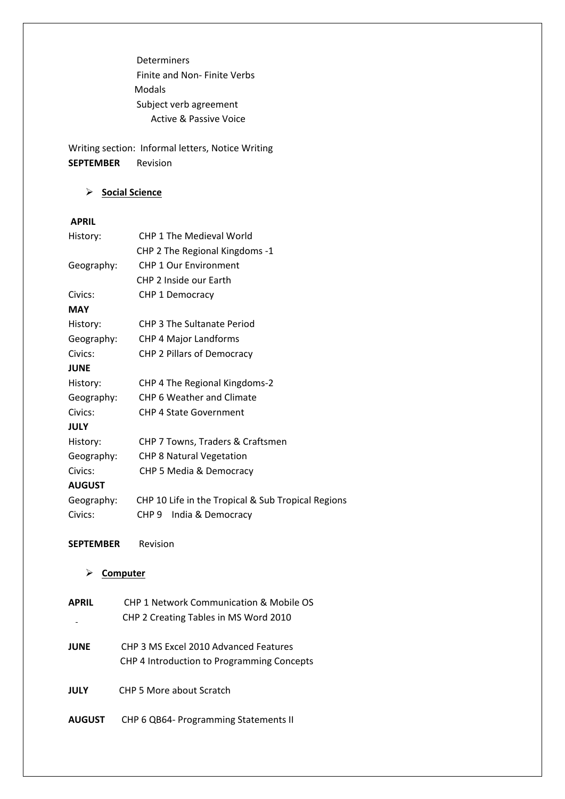Determiners Finite and Non- Finite Verbs Modals Subject verb agreement Active & Passive Voice

Writing section: Informal letters, Notice Writing **SEPTEMBER** Revision

## **Social Science**

#### **APRIL**

| History:         | <b>CHP 1 The Medieval World</b>                    |  |
|------------------|----------------------------------------------------|--|
|                  | CHP 2 The Regional Kingdoms -1                     |  |
| Geography:       | <b>CHP 1 Our Environment</b>                       |  |
|                  | CHP 2 Inside our Earth                             |  |
| Civics:          | CHP 1 Democracy                                    |  |
| <b>MAY</b>       |                                                    |  |
| History:         | <b>CHP 3 The Sultanate Period</b>                  |  |
| Geography:       | CHP 4 Major Landforms                              |  |
| Civics:          | CHP 2 Pillars of Democracy                         |  |
| <b>JUNE</b>      |                                                    |  |
| History:         | CHP 4 The Regional Kingdoms-2                      |  |
| Geography:       | CHP 6 Weather and Climate                          |  |
| Civics:          | <b>CHP 4 State Government</b>                      |  |
| <b>JULY</b>      |                                                    |  |
| History:         | CHP 7 Towns, Traders & Craftsmen                   |  |
| Geography:       | <b>CHP 8 Natural Vegetation</b>                    |  |
| Civics:          | CHP 5 Media & Democracy                            |  |
| <b>AUGUST</b>    |                                                    |  |
| Geography:       | CHP 10 Life in the Tropical & Sub Tropical Regions |  |
| Civics:          | India & Democracy<br>CHP 9                         |  |
| <b>SEPTEMBER</b> | Revision                                           |  |
| Computer         |                                                    |  |

| <b>APRIL</b>  | <b>CHP 1 Network Communication &amp; Mobile OS</b> |
|---------------|----------------------------------------------------|
|               | CHP 2 Creating Tables in MS Word 2010              |
|               |                                                    |
| <b>JUNE</b>   | CHP 3 MS Excel 2010 Advanced Features              |
|               | CHP 4 Introduction to Programming Concepts         |
|               |                                                    |
| <b>JULY</b>   | CHP 5 More about Scratch                           |
|               |                                                    |
| <b>AUGUST</b> | CHP 6 QB64- Programming Statements II              |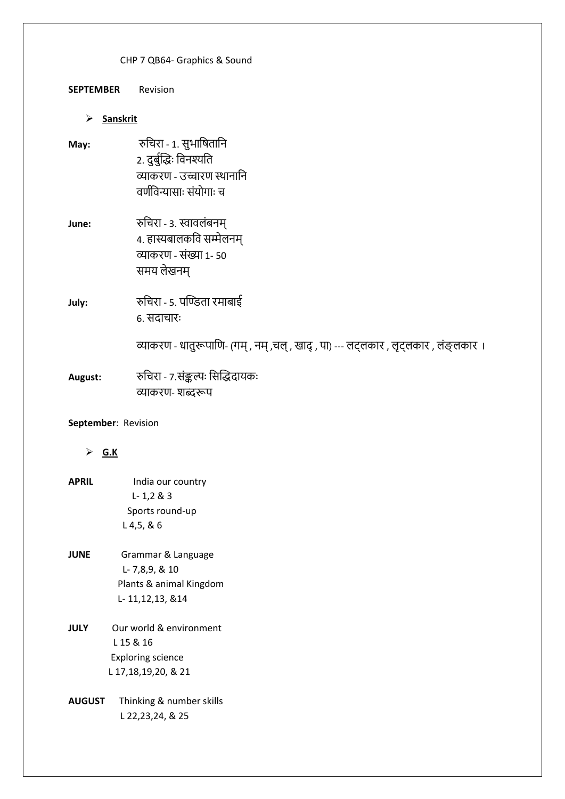**SEPTEMBER** Revision

#### **Sanskrit**

- **May:** रुचिरा 1. सुभाचिताचन 2. दुर्ुुद्धिः चिनश्यचत व्याकरण - उच्चारण स्थानानि वर्णविन्यासाः संयोगाः च
- **June:** रुचिरा 3. स्वावलंबनम् 4. हास्यर्ालकचि सम्मेलनम् व्याकरण - संख्या 1- 50 समय लेखनम्
- **July:** रुचिरा 5. पद्िता रमार्ाई 6. सदाचारः

व्याकरण - धातुरूपाणि- (गम्, नम्, चल्, खाद्, पा) --- लट्लकार, लृट्लकार, लंङ्लकार ।

August: रुचिरा - 7.संङ्कल्पः सिद्धिदायकः व्याकरण- शब्दरूप

## **September**: Revision

## **G.K**

- **APRIL** India our country L- 1,2 & 3 Sports round-up L 4,5, & 6
- **JUNE** Grammar & Language L- 7,8,9, & 10 Plants & animal Kingdom L- 11,12,13, &14
- **JULY** Our world & environment L 15 & 16 Exploring science L 17,18,19,20, & 21
- **AUGUST** Thinking & number skills L 22,23,24, & 25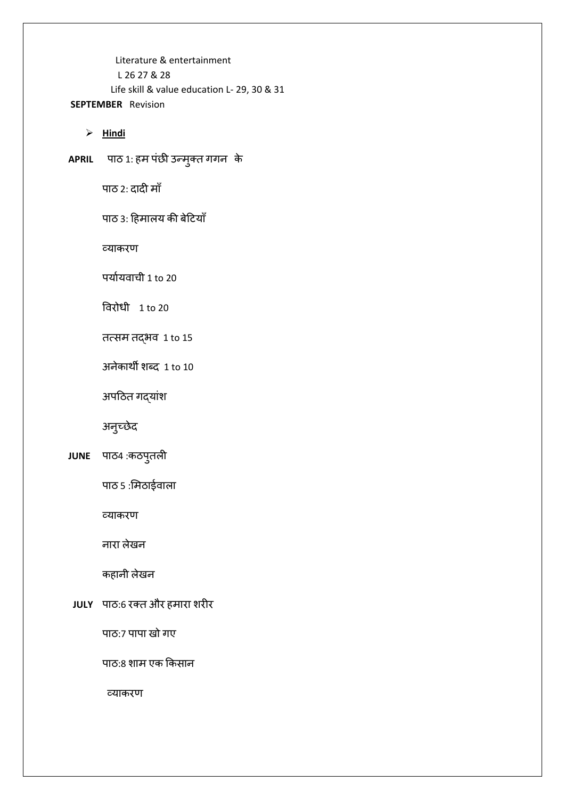Literature & entertainment L 26 27 & 28 Life skill & value education L- 29, 30 & 31 **SEPTEMBER** Revision

 $\triangleright$  **Hindi** 

**APRIL** ऩाठ 1: हम ऩंछी उन्मुक्त गगन के

ऩाठ 2: दादी मााँ

पाठ 3: हिमालय की बेटियाँ

व्याकरण

ऩयाायवाची 1 to 20

ववरोधी 1 to 20

तत्सम तद्भव 1 to 15

अनेकाथी शब्द 1 to 10

अपठित गद्यांश

अनुच्छेद

**JUNE** ऩाठ4 :कठऩुतऱी

पाठ ५ :मिठाईवाला

व्याकरण

नारा ऱेखन

कहानी ऱेखन

**JULY** ऩाठ:6 रक्त और हमारा शरीर

पाठ:7 पापा खो गए

पाठ:8 शाम एक किसान

व्याकरण